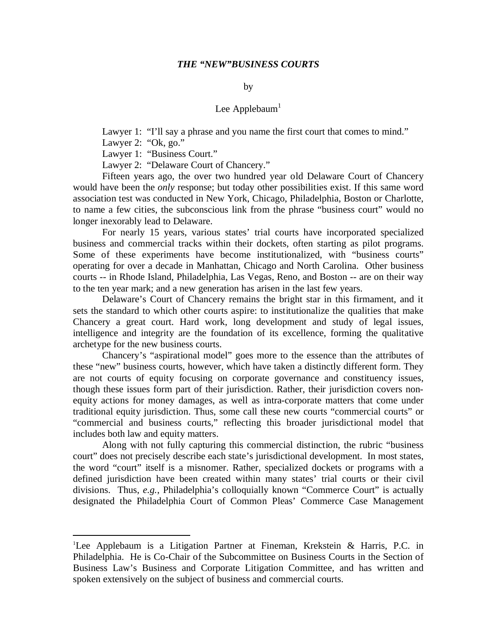### *THE "NEW"BUSINESS COURTS*

#### by

## Lee Applebaum $<sup>1</sup>$ </sup>

Lawyer 1: "I'll say a phrase and you name the first court that comes to mind."

Lawyer 2: "Ok, go."

Lawyer 1: "Business Court."

Lawyer 2: "Delaware Court of Chancery."

Fifteen years ago, the over two hundred year old Delaware Court of Chancery would have been the *only* response; but today other possibilities exist. If this same word association test was conducted in New York, Chicago, Philadelphia, Boston or Charlotte, to name a few cities, the subconscious link from the phrase "business court" would no longer inexorably lead to Delaware.

For nearly 15 years, various states' trial courts have incorporated specialized business and commercial tracks within their dockets, often starting as pilot programs. Some of these experiments have become institutionalized, with "business courts" operating for over a decade in Manhattan, Chicago and North Carolina. Other business courts -- in Rhode Island, Philadelphia, Las Vegas, Reno, and Boston -- are on their way to the ten year mark; and a new generation has arisen in the last few years.

Delaware's Court of Chancery remains the bright star in this firmament, and it sets the standard to which other courts aspire: to institutionalize the qualities that make Chancery a great court. Hard work, long development and study of legal issues, intelligence and integrity are the foundation of its excellence, forming the qualitative archetype for the new business courts.

Chancery's "aspirational model" goes more to the essence than the attributes of these "new" business courts, however, which have taken a distinctly different form. They are not courts of equity focusing on corporate governance and constituency issues, though these issues form part of their jurisdiction. Rather, their jurisdiction covers nonequity actions for money damages, as well as intra-corporate matters that come under traditional equity jurisdiction. Thus, some call these new courts "commercial courts" or "commercial and business courts," reflecting this broader jurisdictional model that includes both law and equity matters.

Along with not fully capturing this commercial distinction, the rubric "business court" does not precisely describe each state's jurisdictional development. In most states, the word "court" itself is a misnomer. Rather, specialized dockets or programs with a defined jurisdiction have been created within many states' trial courts or their civil divisions. Thus, *e.g.*, Philadelphia's colloquially known "Commerce Court" is actually designated the Philadelphia Court of Common Pleas' Commerce Case Management

<sup>1</sup>Lee Applebaum is a Litigation Partner at Fineman, Krekstein & Harris, P.C. in Philadelphia. He is Co-Chair of the Subcommittee on Business Courts in the Section of Business Law's Business and Corporate Litigation Committee, and has written and spoken extensively on the subject of business and commercial courts.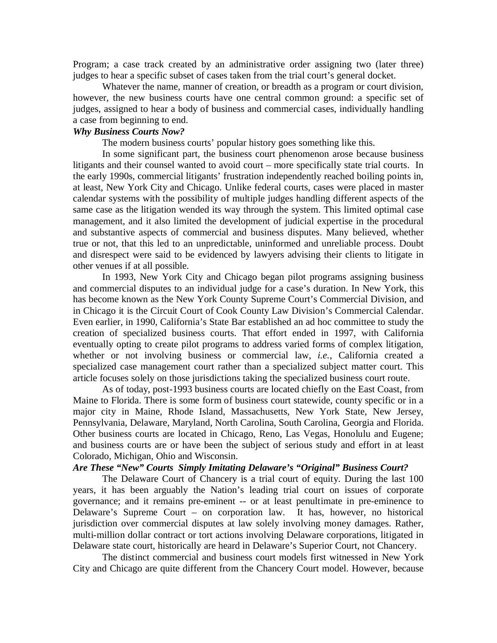Program; a case track created by an administrative order assigning two (later three) judges to hear a specific subset of cases taken from the trial court's general docket.

Whatever the name, manner of creation, or breadth as a program or court division, however, the new business courts have one central common ground: a specific set of judges, assigned to hear a body of business and commercial cases, individually handling a case from beginning to end.

# *Why Business Courts Now?*

The modern business courts' popular history goes something like this.

In some significant part, the business court phenomenon arose because business litigants and their counsel wanted to avoid court – more specifically state trial courts. In the early 1990s, commercial litigants' frustration independently reached boiling points in, at least, New York City and Chicago. Unlike federal courts, cases were placed in master calendar systems with the possibility of multiple judges handling different aspects of the same case as the litigation wended its way through the system. This limited optimal case management, and it also limited the development of judicial expertise in the procedural and substantive aspects of commercial and business disputes. Many believed, whether true or not, that this led to an unpredictable, uninformed and unreliable process. Doubt and disrespect were said to be evidenced by lawyers advising their clients to litigate in other venues if at all possible.

In 1993, New York City and Chicago began pilot programs assigning business and commercial disputes to an individual judge for a case's duration. In New York, this has become known as the New York County Supreme Court's Commercial Division, and in Chicago it is the Circuit Court of Cook County Law Division's Commercial Calendar. Even earlier, in 1990, California's State Bar established an ad hoc committee to study the creation of specialized business courts. That effort ended in 1997, with California eventually opting to create pilot programs to address varied forms of complex litigation, whether or not involving business or commercial law, *i.e.*, California created a specialized case management court rather than a specialized subject matter court. This article focuses solely on those jurisdictions taking the specialized business court route.

As of today, post-1993 business courts are located chiefly on the East Coast, from Maine to Florida. There is some form of business court statewide, county specific or in a major city in Maine, Rhode Island, Massachusetts, New York State, New Jersey, Pennsylvania, Delaware, Maryland, North Carolina, South Carolina, Georgia and Florida. Other business courts are located in Chicago, Reno, Las Vegas, Honolulu and Eugene; and business courts are or have been the subject of serious study and effort in at least Colorado, Michigan, Ohio and Wisconsin.

## *Are These "New" Courts Simply Imitating Delaware's "Original" Business Court?*

The Delaware Court of Chancery is a trial court of equity. During the last 100 years, it has been arguably the Nation's leading trial court on issues of corporate governance; and it remains pre-eminent -- or at least penultimate in pre-eminence to Delaware's Supreme Court – on corporation law. It has, however, no historical jurisdiction over commercial disputes at law solely involving money damages. Rather, multi-million dollar contract or tort actions involving Delaware corporations, litigated in Delaware state court, historically are heard in Delaware's Superior Court, not Chancery.

The distinct commercial and business court models first witnessed in New York City and Chicago are quite different from the Chancery Court model. However, because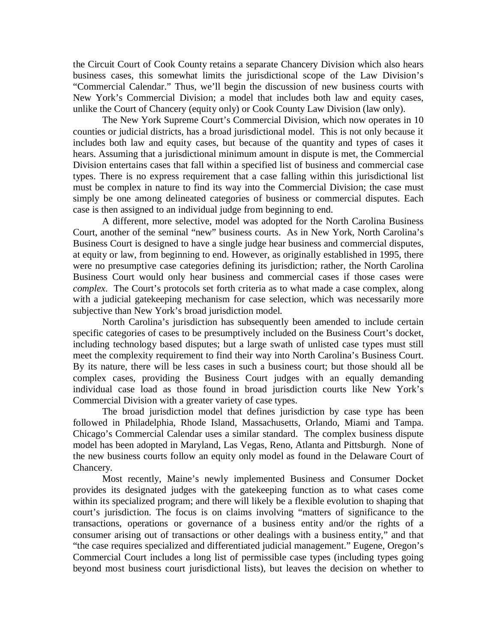the Circuit Court of Cook County retains a separate Chancery Division which also hears business cases, this somewhat limits the jurisdictional scope of the Law Division's "Commercial Calendar." Thus, we'll begin the discussion of new business courts with New York's Commercial Division; a model that includes both law and equity cases, unlike the Court of Chancery (equity only) or Cook County Law Division (law only).

The New York Supreme Court's Commercial Division, which now operates in 10 counties or judicial districts, has a broad jurisdictional model. This is not only because it includes both law and equity cases, but because of the quantity and types of cases it hears. Assuming that a jurisdictional minimum amount in dispute is met, the Commercial Division entertains cases that fall within a specified list of business and commercial case types. There is no express requirement that a case falling within this jurisdictional list must be complex in nature to find its way into the Commercial Division; the case must simply be one among delineated categories of business or commercial disputes. Each case is then assigned to an individual judge from beginning to end.

A different, more selective, model was adopted for the North Carolina Business Court, another of the seminal "new" business courts. As in New York, North Carolina's Business Court is designed to have a single judge hear business and commercial disputes, at equity or law, from beginning to end. However, as originally established in 1995, there were no presumptive case categories defining its jurisdiction; rather, the North Carolina Business Court would only hear business and commercial cases if those cases were *complex*. The Court's protocols set forth criteria as to what made a case complex, along with a judicial gatekeeping mechanism for case selection, which was necessarily more subjective than New York's broad jurisdiction model.

North Carolina's jurisdiction has subsequently been amended to include certain specific categories of cases to be presumptively included on the Business Court's docket, including technology based disputes; but a large swath of unlisted case types must still meet the complexity requirement to find their way into North Carolina's Business Court. By its nature, there will be less cases in such a business court; but those should all be complex cases, providing the Business Court judges with an equally demanding individual case load as those found in broad jurisdiction courts like New York's Commercial Division with a greater variety of case types.

The broad jurisdiction model that defines jurisdiction by case type has been followed in Philadelphia, Rhode Island, Massachusetts, Orlando, Miami and Tampa. Chicago's Commercial Calendar uses a similar standard. The complex business dispute model has been adopted in Maryland, Las Vegas, Reno, Atlanta and Pittsburgh. None of the new business courts follow an equity only model as found in the Delaware Court of Chancery.

Most recently, Maine's newly implemented Business and Consumer Docket provides its designated judges with the gatekeeping function as to what cases come within its specialized program; and there will likely be a flexible evolution to shaping that court's jurisdiction. The focus is on claims involving "matters of significance to the transactions, operations or governance of a business entity and/or the rights of a consumer arising out of transactions or other dealings with a business entity," and that "the case requires specialized and differentiated judicial management." Eugene, Oregon's Commercial Court includes a long list of permissible case types (including types going beyond most business court jurisdictional lists), but leaves the decision on whether to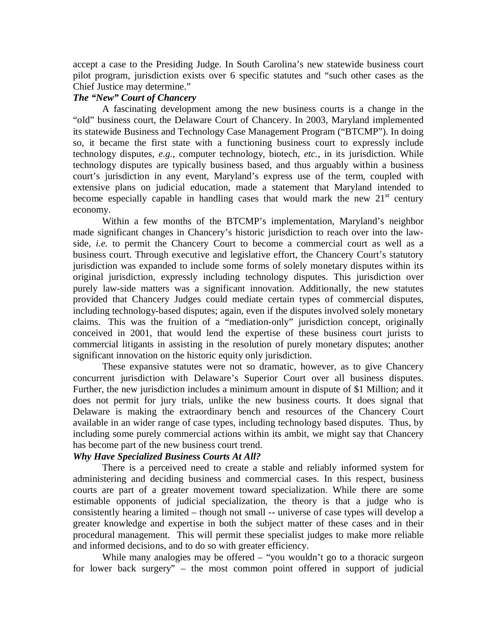accept a case to the Presiding Judge. In South Carolina's new statewide business court pilot program, jurisdiction exists over 6 specific statutes and "such other cases as the Chief Justice may determine."

### *The "New" Court of Chancery*

A fascinating development among the new business courts is a change in the "old" business court, the Delaware Court of Chancery. In 2003, Maryland implemented its statewide Business and Technology Case Management Program ("BTCMP"). In doing so, it became the first state with a functioning business court to expressly include technology disputes, *e.g.*, computer technology, biotech, *etc.*, in its jurisdiction. While technology disputes are typically business based, and thus arguably within a business court's jurisdiction in any event, Maryland's express use of the term, coupled with extensive plans on judicial education, made a statement that Maryland intended to become especially capable in handling cases that would mark the new  $21<sup>st</sup>$  century economy.

Within a few months of the BTCMP's implementation, Maryland's neighbor made significant changes in Chancery's historic jurisdiction to reach over into the lawside, *i.e.* to permit the Chancery Court to become a commercial court as well as a business court. Through executive and legislative effort, the Chancery Court's statutory jurisdiction was expanded to include some forms of solely monetary disputes within its original jurisdiction, expressly including technology disputes. This jurisdiction over purely law-side matters was a significant innovation. Additionally, the new statutes provided that Chancery Judges could mediate certain types of commercial disputes, including technology-based disputes; again, even if the disputes involved solely monetary claims. This was the fruition of a "mediation-only" jurisdiction concept, originally conceived in 2001, that would lend the expertise of these business court jurists to commercial litigants in assisting in the resolution of purely monetary disputes; another significant innovation on the historic equity only jurisdiction.

These expansive statutes were not so dramatic, however, as to give Chancery concurrent jurisdiction with Delaware's Superior Court over all business disputes. Further, the new jurisdiction includes a minimum amount in dispute of \$1 Million; and it does not permit for jury trials, unlike the new business courts. It does signal that Delaware is making the extraordinary bench and resources of the Chancery Court available in an wider range of case types, including technology based disputes. Thus, by including some purely commercial actions within its ambit, we might say that Chancery has become part of the new business court trend.

## *Why Have Specialized Business Courts At All?*

There is a perceived need to create a stable and reliably informed system for administering and deciding business and commercial cases. In this respect, business courts are part of a greater movement toward specialization. While there are some estimable opponents of judicial specialization, the theory is that a judge who is consistently hearing a limited – though not small -- universe of case types will develop a greater knowledge and expertise in both the subject matter of these cases and in their procedural management. This will permit these specialist judges to make more reliable and informed decisions, and to do so with greater efficiency.

While many analogies may be offered – "you wouldn't go to a thoracic surgeon for lower back surgery" – the most common point offered in support of judicial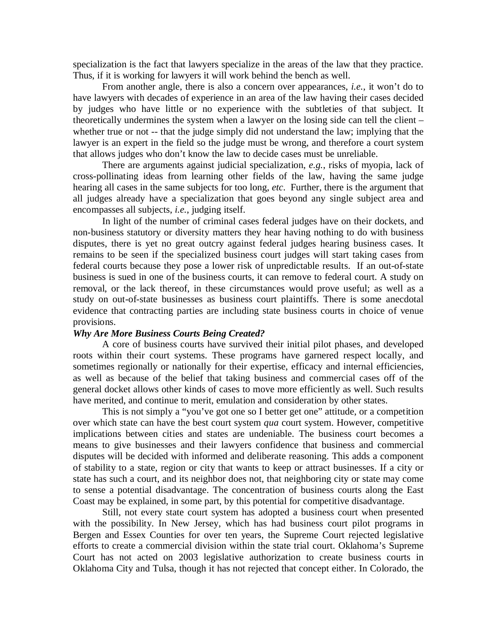specialization is the fact that lawyers specialize in the areas of the law that they practice. Thus, if it is working for lawyers it will work behind the bench as well.

From another angle, there is also a concern over appearances, *i.e.*, it won't do to have lawyers with decades of experience in an area of the law having their cases decided by judges who have little or no experience with the subtleties of that subject. It theoretically undermines the system when a lawyer on the losing side can tell the client – whether true or not -- that the judge simply did not understand the law; implying that the lawyer is an expert in the field so the judge must be wrong, and therefore a court system that allows judges who don't know the law to decide cases must be unreliable.

There are arguments against judicial specialization, *e.g.*, risks of myopia, lack of cross-pollinating ideas from learning other fields of the law, having the same judge hearing all cases in the same subjects for too long, *etc*. Further, there is the argument that all judges already have a specialization that goes beyond any single subject area and encompasses all subjects, *i.e.*, judging itself.

In light of the number of criminal cases federal judges have on their dockets, and non-business statutory or diversity matters they hear having nothing to do with business disputes, there is yet no great outcry against federal judges hearing business cases. It remains to be seen if the specialized business court judges will start taking cases from federal courts because they pose a lower risk of unpredictable results. If an out-of-state business is sued in one of the business courts, it can remove to federal court. A study on removal, or the lack thereof, in these circumstances would prove useful; as well as a study on out-of-state businesses as business court plaintiffs. There is some anecdotal evidence that contracting parties are including state business courts in choice of venue provisions.

#### *Why Are More Business Courts Being Created?*

A core of business courts have survived their initial pilot phases, and developed roots within their court systems. These programs have garnered respect locally, and sometimes regionally or nationally for their expertise, efficacy and internal efficiencies, as well as because of the belief that taking business and commercial cases off of the general docket allows other kinds of cases to move more efficiently as well. Such results have merited, and continue to merit, emulation and consideration by other states.

This is not simply a "you've got one so I better get one" attitude, or a competition over which state can have the best court system *qua* court system. However, competitive implications between cities and states are undeniable. The business court becomes a means to give businesses and their lawyers confidence that business and commercial disputes will be decided with informed and deliberate reasoning. This adds a component of stability to a state, region or city that wants to keep or attract businesses. If a city or state has such a court, and its neighbor does not, that neighboring city or state may come to sense a potential disadvantage. The concentration of business courts along the East Coast may be explained, in some part, by this potential for competitive disadvantage.

Still, not every state court system has adopted a business court when presented with the possibility. In New Jersey, which has had business court pilot programs in Bergen and Essex Counties for over ten years, the Supreme Court rejected legislative efforts to create a commercial division within the state trial court. Oklahoma's Supreme Court has not acted on 2003 legislative authorization to create business courts in Oklahoma City and Tulsa, though it has not rejected that concept either. In Colorado, the